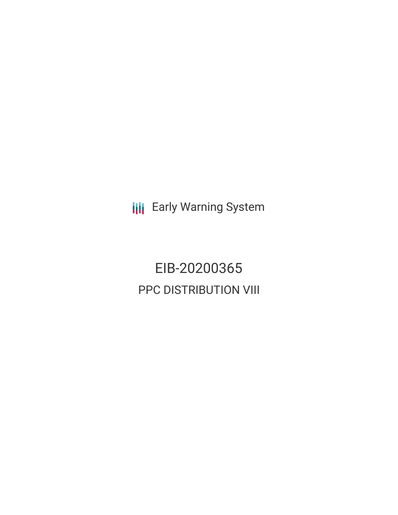**III** Early Warning System

EIB-20200365 PPC DISTRIBUTION VIII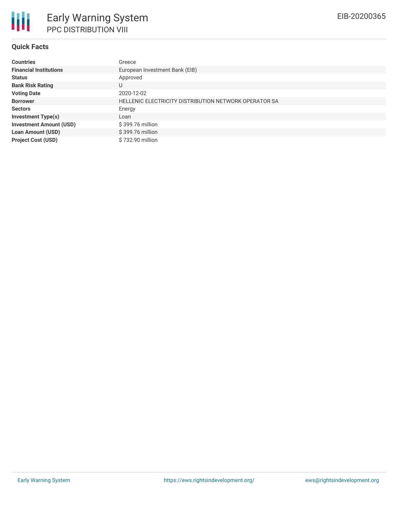## **Quick Facts**

| <b>Countries</b>               | Greece                                                |
|--------------------------------|-------------------------------------------------------|
| <b>Financial Institutions</b>  | European Investment Bank (EIB)                        |
| <b>Status</b>                  | Approved                                              |
| <b>Bank Risk Rating</b>        | U                                                     |
| <b>Voting Date</b>             | 2020-12-02                                            |
| <b>Borrower</b>                | HELLENIC ELECTRICITY DISTRIBUTION NETWORK OPERATOR SA |
| <b>Sectors</b>                 | Energy                                                |
| <b>Investment Type(s)</b>      | Loan                                                  |
| <b>Investment Amount (USD)</b> | \$399.76 million                                      |
| <b>Loan Amount (USD)</b>       | \$399.76 million                                      |
| <b>Project Cost (USD)</b>      | \$732.90 million                                      |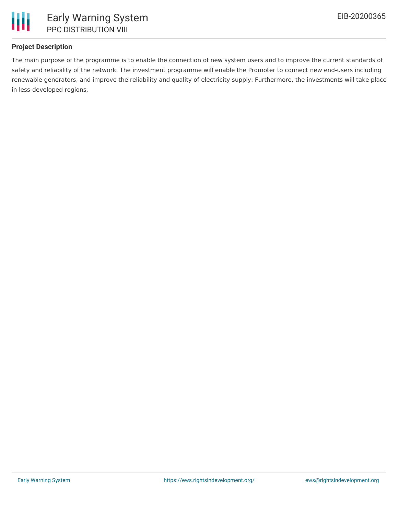

# **Project Description**

The main purpose of the programme is to enable the connection of new system users and to improve the current standards of safety and reliability of the network. The investment programme will enable the Promoter to connect new end-users including renewable generators, and improve the reliability and quality of electricity supply. Furthermore, the investments will take place in less-developed regions.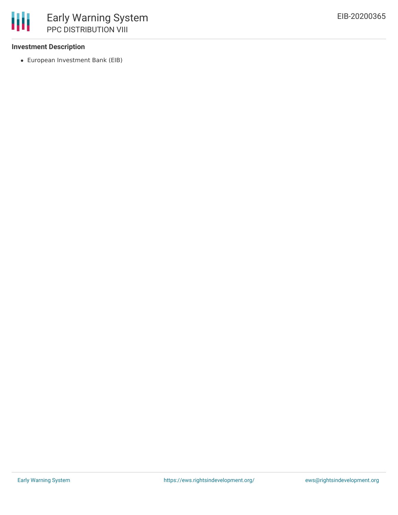## **Investment Description**

European Investment Bank (EIB)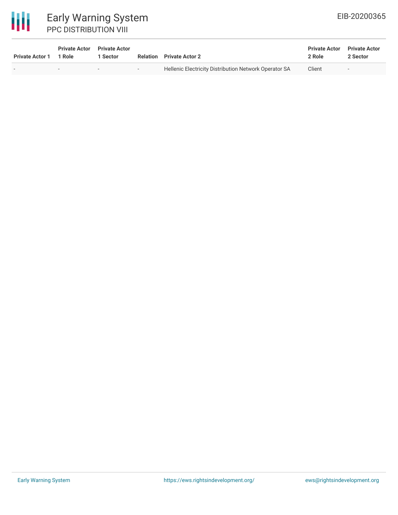# 冊

# Early Warning System PPC DISTRIBUTION VIII

| <b>Private Actor 1</b> | <b>Private Actor</b> Private Actor<br>1 Role | 1 Sector |        | <b>Relation</b> Private Actor 2                       | <b>Private Actor</b><br>2 Role | <b>Private Actor</b><br>2 Sector |
|------------------------|----------------------------------------------|----------|--------|-------------------------------------------------------|--------------------------------|----------------------------------|
|                        | $\overline{\phantom{a}}$                     | $\sim$   | $\sim$ | Hellenic Electricity Distribution Network Operator SA | Client                         | <b>COL</b>                       |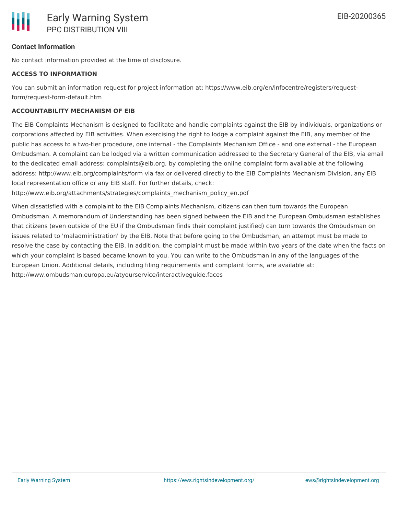## **Contact Information**

No contact information provided at the time of disclosure.

#### **ACCESS TO INFORMATION**

You can submit an information request for project information at: https://www.eib.org/en/infocentre/registers/requestform/request-form-default.htm

## **ACCOUNTABILITY MECHANISM OF EIB**

The EIB Complaints Mechanism is designed to facilitate and handle complaints against the EIB by individuals, organizations or corporations affected by EIB activities. When exercising the right to lodge a complaint against the EIB, any member of the public has access to a two-tier procedure, one internal - the Complaints Mechanism Office - and one external - the European Ombudsman. A complaint can be lodged via a written communication addressed to the Secretary General of the EIB, via email to the dedicated email address: complaints@eib.org, by completing the online complaint form available at the following address: http://www.eib.org/complaints/form via fax or delivered directly to the EIB Complaints Mechanism Division, any EIB local representation office or any EIB staff. For further details, check:

http://www.eib.org/attachments/strategies/complaints\_mechanism\_policy\_en.pdf

When dissatisfied with a complaint to the EIB Complaints Mechanism, citizens can then turn towards the European Ombudsman. A memorandum of Understanding has been signed between the EIB and the European Ombudsman establishes that citizens (even outside of the EU if the Ombudsman finds their complaint justified) can turn towards the Ombudsman on issues related to 'maladministration' by the EIB. Note that before going to the Ombudsman, an attempt must be made to resolve the case by contacting the EIB. In addition, the complaint must be made within two years of the date when the facts on which your complaint is based became known to you. You can write to the Ombudsman in any of the languages of the European Union. Additional details, including filing requirements and complaint forms, are available at: http://www.ombudsman.europa.eu/atyourservice/interactiveguide.faces